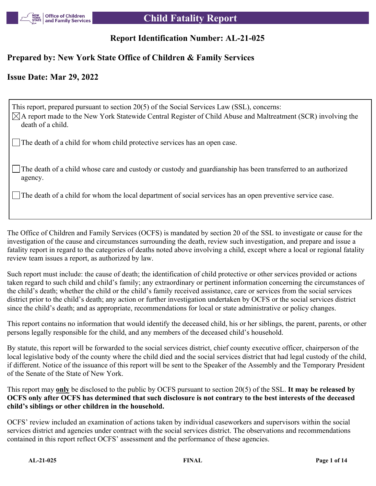

# **Report Identification Number: AL-21-025**

# **Prepared by: New York State Office of Children & Family Services**

# **Issue Date: Mar 29, 2022**

This report, prepared pursuant to section 20(5) of the Social Services Law (SSL), concerns:  $\boxtimes$ A report made to the New York Statewide Central Register of Child Abuse and Maltreatment (SCR) involving the death of a child. The death of a child for whom child protective services has an open case.

The death of a child whose care and custody or custody and guardianship has been transferred to an authorized agency.

The death of a child for whom the local department of social services has an open preventive service case.

The Office of Children and Family Services (OCFS) is mandated by section 20 of the SSL to investigate or cause for the investigation of the cause and circumstances surrounding the death, review such investigation, and prepare and issue a fatality report in regard to the categories of deaths noted above involving a child, except where a local or regional fatality review team issues a report, as authorized by law.

Such report must include: the cause of death; the identification of child protective or other services provided or actions taken regard to such child and child's family; any extraordinary or pertinent information concerning the circumstances of the child's death; whether the child or the child's family received assistance, care or services from the social services district prior to the child's death; any action or further investigation undertaken by OCFS or the social services district since the child's death; and as appropriate, recommendations for local or state administrative or policy changes.

This report contains no information that would identify the deceased child, his or her siblings, the parent, parents, or other persons legally responsible for the child, and any members of the deceased child's household.

By statute, this report will be forwarded to the social services district, chief county executive officer, chairperson of the local legislative body of the county where the child died and the social services district that had legal custody of the child, if different. Notice of the issuance of this report will be sent to the Speaker of the Assembly and the Temporary President of the Senate of the State of New York.

This report may **only** be disclosed to the public by OCFS pursuant to section 20(5) of the SSL. **It may be released by OCFS only after OCFS has determined that such disclosure is not contrary to the best interests of the deceased child's siblings or other children in the household.**

OCFS' review included an examination of actions taken by individual caseworkers and supervisors within the social services district and agencies under contract with the social services district. The observations and recommendations contained in this report reflect OCFS' assessment and the performance of these agencies.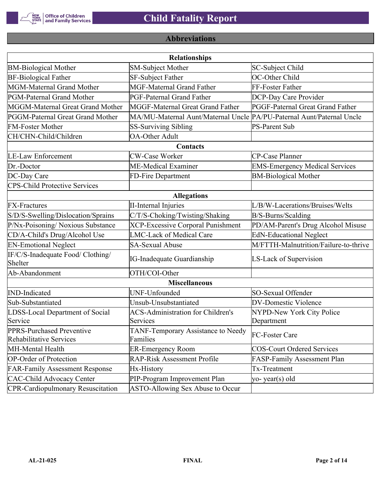

# **Abbreviations**

| <b>Relationships</b>                                 |                                                                       |                                       |  |  |
|------------------------------------------------------|-----------------------------------------------------------------------|---------------------------------------|--|--|
| <b>BM-Biological Mother</b>                          | SM-Subject Mother                                                     | SC-Subject Child                      |  |  |
| <b>BF-Biological Father</b>                          | <b>SF-Subject Father</b>                                              | OC-Other Child                        |  |  |
| MGM-Maternal Grand Mother                            | <b>MGF-Maternal Grand Father</b>                                      | FF-Foster Father                      |  |  |
| PGM-Paternal Grand Mother                            | PGF-Paternal Grand Father                                             | DCP-Day Care Provider                 |  |  |
| MGGM-Maternal Great Grand Mother                     | MGGF-Maternal Great Grand Father                                      | PGGF-Paternal Great Grand Father      |  |  |
| PGGM-Paternal Great Grand Mother                     | MA/MU-Maternal Aunt/Maternal Uncle PA/PU-Paternal Aunt/Paternal Uncle |                                       |  |  |
| <b>FM-Foster Mother</b>                              | <b>SS-Surviving Sibling</b>                                           | <b>PS-Parent Sub</b>                  |  |  |
| CH/CHN-Child/Children                                | <b>OA-Other Adult</b>                                                 |                                       |  |  |
|                                                      | Contacts                                                              |                                       |  |  |
| <b>LE-Law Enforcement</b>                            | <b>CW-Case Worker</b>                                                 | CP-Case Planner                       |  |  |
| Dr.-Doctor                                           | ME-Medical Examiner                                                   | <b>EMS-Emergency Medical Services</b> |  |  |
| DC-Day Care                                          | FD-Fire Department                                                    | <b>BM-Biological Mother</b>           |  |  |
| <b>CPS-Child Protective Services</b>                 |                                                                       |                                       |  |  |
|                                                      | <b>Allegations</b>                                                    |                                       |  |  |
| <b>FX-Fractures</b>                                  | <b>II-Internal Injuries</b>                                           | L/B/W-Lacerations/Bruises/Welts       |  |  |
| S/D/S-Swelling/Dislocation/Sprains                   | C/T/S-Choking/Twisting/Shaking                                        | B/S-Burns/Scalding                    |  |  |
| P/Nx-Poisoning/ Noxious Substance                    | <b>XCP-Excessive Corporal Punishment</b>                              | PD/AM-Parent's Drug Alcohol Misuse    |  |  |
| CD/A-Child's Drug/Alcohol Use                        | <b>LMC-Lack of Medical Care</b>                                       | <b>EdN-Educational Neglect</b>        |  |  |
| <b>EN-Emotional Neglect</b>                          | <b>SA-Sexual Abuse</b>                                                | M/FTTH-Malnutrition/Failure-to-thrive |  |  |
| IF/C/S-Inadequate Food/ Clothing/<br>Shelter         | <b>IG-Inadequate Guardianship</b>                                     | LS-Lack of Supervision                |  |  |
| Ab-Abandonment                                       | OTH/COI-Other                                                         |                                       |  |  |
|                                                      | <b>Miscellaneous</b>                                                  |                                       |  |  |
| <b>IND-Indicated</b>                                 | UNF-Unfounded                                                         | SO-Sexual Offender                    |  |  |
| Sub-Substantiated                                    | Unsub-Unsubstantiated                                                 | <b>DV-Domestic Violence</b>           |  |  |
| LDSS-Local Department of Social                      | <b>ACS-Administration for Children's</b>                              | NYPD-New York City Police             |  |  |
| Service                                              | Services                                                              | Department                            |  |  |
| PPRS-Purchased Preventive<br>Rehabilitative Services | TANF-Temporary Assistance to Needy<br>Families                        | FC-Foster Care                        |  |  |
| MH-Mental Health                                     | <b>ER-Emergency Room</b>                                              | <b>COS-Court Ordered Services</b>     |  |  |
| <b>OP-Order of Protection</b>                        | <b>RAP-Risk Assessment Profile</b>                                    | FASP-Family Assessment Plan           |  |  |
| <b>FAR-Family Assessment Response</b>                | Hx-History                                                            | Tx-Treatment                          |  |  |
| <b>CAC-Child Advocacy Center</b>                     | PIP-Program Improvement Plan                                          | yo-year(s) old                        |  |  |
| <b>CPR-Cardiopulmonary Resuscitation</b>             | ASTO-Allowing Sex Abuse to Occur                                      |                                       |  |  |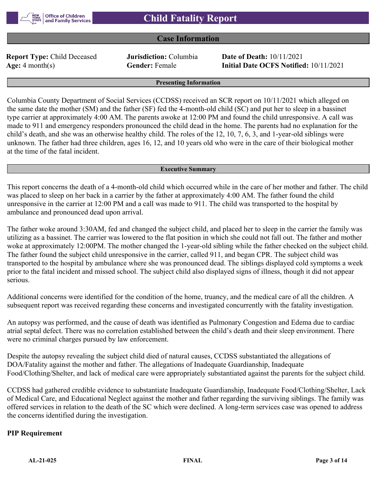# **Case Information**

**Report Type:** Child Deceased **Jurisdiction:** Columbia **Date of Death:** 10/11/2021

**Age:** 4 month(s) **Gender:** Female **Initial Date OCFS Notified:** 10/11/2021

#### **Presenting Information**

Columbia County Department of Social Services (CCDSS) received an SCR report on 10/11/2021 which alleged on the same date the mother (SM) and the father (SF) fed the 4-month-old child (SC) and put her to sleep in a bassinet type carrier at approximately 4:00 AM. The parents awoke at 12:00 PM and found the child unresponsive. A call was made to 911 and emergency responders pronounced the child dead in the home. The parents had no explanation for the child's death, and she was an otherwise healthy child. The roles of the 12, 10, 7, 6, 3, and 1-year-old siblings were unknown. The father had three children, ages 16, 12, and 10 years old who were in the care of their biological mother at the time of the fatal incident.

#### **Executive Summary**

This report concerns the death of a 4-month-old child which occurred while in the care of her mother and father. The child was placed to sleep on her back in a carrier by the father at approximately 4:00 AM. The father found the child unresponsive in the carrier at 12:00 PM and a call was made to 911. The child was transported to the hospital by ambulance and pronounced dead upon arrival.

The father woke around 3:30AM, fed and changed the subject child, and placed her to sleep in the carrier the family was utilizing as a bassinet. The carrier was lowered to the flat position in which she could not fall out. The father and mother woke at approximately 12:00PM. The mother changed the 1-year-old sibling while the father checked on the subject child. The father found the subject child unresponsive in the carrier, called 911, and began CPR. The subject child was transported to the hospital by ambulance where she was pronounced dead. The siblings displayed cold symptoms a week prior to the fatal incident and missed school. The subject child also displayed signs of illness, though it did not appear serious.

Additional concerns were identified for the condition of the home, truancy, and the medical care of all the children. A subsequent report was received regarding these concerns and investigated concurrently with the fatality investigation.

An autopsy was performed, and the cause of death was identified as Pulmonary Congestion and Edema due to cardiac atrial septal defect. There was no correlation established between the child's death and their sleep environment. There were no criminal charges pursued by law enforcement.

Despite the autopsy revealing the subject child died of natural causes, CCDSS substantiated the allegations of DOA/Fatality against the mother and father. The allegations of Inadequate Guardianship, Inadequate Food/Clothing/Shelter, and lack of medical care were appropriately substantiated against the parents for the subject child.

CCDSS had gathered credible evidence to substantiate Inadequate Guardianship, Inadequate Food/Clothing/Shelter, Lack of Medical Care, and Educational Neglect against the mother and father regarding the surviving siblings. The family was offered services in relation to the death of the SC which were declined. A long-term services case was opened to address the concerns identified during the investigation.

## **PIP Requirement**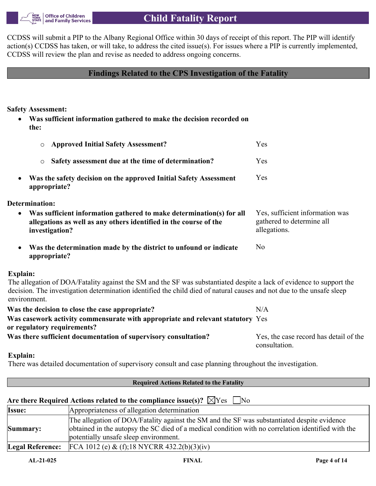

CCDSS will submit a PIP to the Albany Regional Office within 30 days of receipt of this report. The PIP will identify action(s) CCDSS has taken, or will take, to address the cited issue(s). For issues where a PIP is currently implemented, CCDSS will review the plan and revise as needed to address ongoing concerns.

# **Findings Related to the CPS Investigation of the Fatality**

**Safety Assessment:**

 **Was sufficient information gathered to make the decision recorded on the:**

| <b>Approved Initial Safety Assessment?</b><br>$\circ$                                                                                                                                                                                                         | Yes                                                                          |
|---------------------------------------------------------------------------------------------------------------------------------------------------------------------------------------------------------------------------------------------------------------|------------------------------------------------------------------------------|
| Safety assessment due at the time of determination?<br>$\circ$                                                                                                                                                                                                | Yes                                                                          |
| Was the safety decision on the approved Initial Safety Assessment<br>appropriate?                                                                                                                                                                             | Yes                                                                          |
| Determination:                                                                                                                                                                                                                                                |                                                                              |
| Was sufficient information gathered to make determination(s) for all<br>$\bullet$<br>allegations as well as any others identified in the course of the<br>investigation?                                                                                      | Yes, sufficient information was<br>gathered to determine all<br>allegations. |
| Was the determination made by the district to unfound or indicate<br>appropriate?                                                                                                                                                                             | N <sub>o</sub>                                                               |
| Explain:                                                                                                                                                                                                                                                      |                                                                              |
| The allegation of DOA/Fatality against the SM and the SF was substantiated despite a lack of evidence to support the<br>decision. The investigation determination identified the child died of natural causes and not due to the unsafe sleep<br>environment. |                                                                              |
| Was the decision to close the case appropriate?                                                                                                                                                                                                               | N/A                                                                          |
| Was casework activity commensurate with appropriate and relevant statutory Yes<br>or regulatory requirements?                                                                                                                                                 |                                                                              |
| Was there sufficient documentation of supervisory consultation?                                                                                                                                                                                               | Yes, the case record has detail of the<br>consultation.                      |

## **Explain:**

There was detailed documentation of supervisory consult and case planning throughout the investigation.

| <b>Required Actions Related to the Fatality</b> |                                                                                                                                                                                                                                            |  |  |  |
|-------------------------------------------------|--------------------------------------------------------------------------------------------------------------------------------------------------------------------------------------------------------------------------------------------|--|--|--|
|                                                 | Are there Required Actions related to the compliance issue(s)? $\boxtimes$ Yes $\Box$ No                                                                                                                                                   |  |  |  |
| Issue:                                          | Appropriateness of allegation determination                                                                                                                                                                                                |  |  |  |
| Summary:                                        | The allegation of DOA/Fatality against the SM and the SF was substantiated despite evidence<br>obtained in the autopsy the SC died of a medical condition with no correlation identified with the<br>potentially unsafe sleep environment. |  |  |  |
| <b>Legal Reference:</b>                         | FCA 1012 (e) & (f);18 NYCRR 432.2(b)(3)(iv)                                                                                                                                                                                                |  |  |  |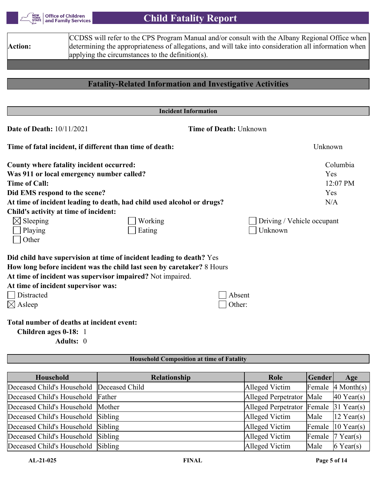

# **Child Fatality Report**

|                | CCDSS will refer to the CPS Program Manual and/or consult with the Albany Regional Office when        |
|----------------|-------------------------------------------------------------------------------------------------------|
| <b>Action:</b> | determining the appropriateness of allegations, and will take into consideration all information when |
|                | applying the circumstances to the definition(s).                                                      |
|                |                                                                                                       |

# **Fatality-Related Information and Investigative Activities**

| <b>Incident Information</b>                              |                                                                        |                               |                            |
|----------------------------------------------------------|------------------------------------------------------------------------|-------------------------------|----------------------------|
| <b>Date of Death: 10/11/2021</b>                         |                                                                        | <b>Time of Death: Unknown</b> |                            |
| Time of fatal incident, if different than time of death: |                                                                        |                               | Unknown                    |
| County where fatality incident occurred:                 |                                                                        |                               | Columbia                   |
| Was 911 or local emergency number called?                |                                                                        |                               | Yes                        |
| <b>Time of Call:</b>                                     |                                                                        |                               | 12:07 PM                   |
| Did EMS respond to the scene?                            |                                                                        |                               | Yes                        |
|                                                          | At time of incident leading to death, had child used alcohol or drugs? |                               | N/A                        |
| Child's activity at time of incident:                    |                                                                        |                               |                            |
| $\boxtimes$ Sleeping                                     | Working                                                                |                               | Driving / Vehicle occupant |
| Playing                                                  | Eating                                                                 | Unknown                       |                            |
| Other                                                    |                                                                        |                               |                            |
|                                                          | Did child have supervision at time of incident leading to death? Yes   |                               |                            |
|                                                          | How long before incident was the child last seen by caretaker? 8 Hours |                               |                            |
|                                                          | At time of incident was supervisor impaired? Not impaired.             |                               |                            |
| At time of incident supervisor was:                      |                                                                        |                               |                            |
| Distracted                                               |                                                                        | Absent                        |                            |
| $\boxtimes$ Asleep                                       |                                                                        | Other:                        |                            |
| Total number of deaths at incident event:                |                                                                        |                               |                            |
| Children ages 0-18: 1                                    |                                                                        |                               |                            |
| Adults: 0                                                |                                                                        |                               |                            |
|                                                          | <b>Household Composition at time of Fatality</b>                       |                               |                            |

| Household                                 | Relationship | Role                                              | Gender | Age                                     |
|-------------------------------------------|--------------|---------------------------------------------------|--------|-----------------------------------------|
| Deceased Child's Household Deceased Child |              | Alleged Victim                                    |        | Female $\vert 4 \text{ Month}(s) \vert$ |
| Deceased Child's Household Father         |              | Alleged Perpetrator Male                          |        | $40$ Year(s)                            |
| Deceased Child's Household Mother         |              | Alleged Perpetrator Female $ 31 \text{ Year}(s) $ |        |                                         |
| Deceased Child's Household Sibling        |              | Alleged Victim                                    | Male   | $12$ Year(s)                            |
| Deceased Child's Household Sibling        |              | Alleged Victim                                    |        | Female $ 10 \text{ Year}(s) $           |
| Deceased Child's Household Sibling        |              | Alleged Victim                                    |        | Female $ 7 \text{ Year}(s) $            |
| Deceased Child's Household Sibling        |              | Alleged Victim                                    | Male   | $6$ Year(s)                             |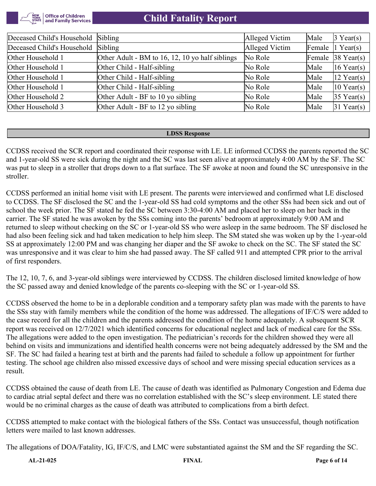

| Deceased Child's Household | Sibling                                         | Alleged Victim | Male | $3$ Year(s)                   |
|----------------------------|-------------------------------------------------|----------------|------|-------------------------------|
| Deceased Child's Household | Sibling                                         | Alleged Victim |      | Female $ 1 \text{ Year}(s) $  |
| Other Household 1          | Other Adult - BM to 16, 12, 10 yo half siblings | No Role        |      | Female $ 38 \text{ Year}(s) $ |
| Other Household 1          | Other Child - Half-sibling                      | No Role        | Male | 16 Year(s)                    |
| Other Household 1          | Other Child - Half-sibling                      | No Role        | Male | $12$ Year(s)                  |
| Other Household 1          | Other Child - Half-sibling                      | No Role        | Male | $10$ Year(s)                  |
| Other Household 2          | Other Adult - BF to 10 yo sibling               | No Role        | Male | $35$ Year(s)                  |
| Other Household 3          | Other Adult - BF to 12 yo sibling               | No Role        | Male | $31$ Year(s)                  |

#### **LDSS Response**

CCDSS received the SCR report and coordinated their response with LE. LE informed CCDSS the parents reported the SC and 1-year-old SS were sick during the night and the SC was last seen alive at approximately 4:00 AM by the SF. The SC was put to sleep in a stroller that drops down to a flat surface. The SF awoke at noon and found the SC unresponsive in the stroller.

CCDSS performed an initial home visit with LE present. The parents were interviewed and confirmed what LE disclosed to CCDSS. The SF disclosed the SC and the 1-year-old SS had cold symptoms and the other SSs had been sick and out of school the week prior. The SF stated he fed the SC between 3:30-4:00 AM and placed her to sleep on her back in the carrier. The SF stated he was awoken by the SSs coming into the parents' bedroom at approximately 9:00 AM and returned to sleep without checking on the SC or 1-year-old SS who were asleep in the same bedroom. The SF disclosed he had also been feeling sick and had taken medication to help him sleep. The SM stated she was woken up by the 1-year-old SS at approximately 12:00 PM and was changing her diaper and the SF awoke to check on the SC. The SF stated the SC was unresponsive and it was clear to him she had passed away. The SF called 911 and attempted CPR prior to the arrival of first responders.

The 12, 10, 7, 6, and 3-year-old siblings were interviewed by CCDSS. The children disclosed limited knowledge of how the SC passed away and denied knowledge of the parents co-sleeping with the SC or 1-year-old SS.

CCDSS observed the home to be in a deplorable condition and a temporary safety plan was made with the parents to have the SSs stay with family members while the condition of the home was addressed. The allegations of IF/C/S were added to the case record for all the children and the parents addressed the condition of the home adequately. A subsequent SCR report was received on 12/7/2021 which identified concerns for educational neglect and lack of medical care for the SSs. The allegations were added to the open investigation. The pediatrician's records for the children showed they were all behind on visits and immunizations and identified health concerns were not being adequately addressed by the SM and the SF. The SC had failed a hearing test at birth and the parents had failed to schedule a follow up appointment for further testing. The school age children also missed excessive days of school and were missing special education services as a result.

CCDSS obtained the cause of death from LE. The cause of death was identified as Pulmonary Congestion and Edema due to cardiac atrial septal defect and there was no correlation established with the SC's sleep environment. LE stated there would be no criminal charges as the cause of death was attributed to complications from a birth defect.

CCDSS attempted to make contact with the biological fathers of the SSs. Contact was unsuccessful, though notification letters were mailed to last known addresses.

The allegations of DOA/Fatality, IG, IF/C/S, and LMC were substantiated against the SM and the SF regarding the SC.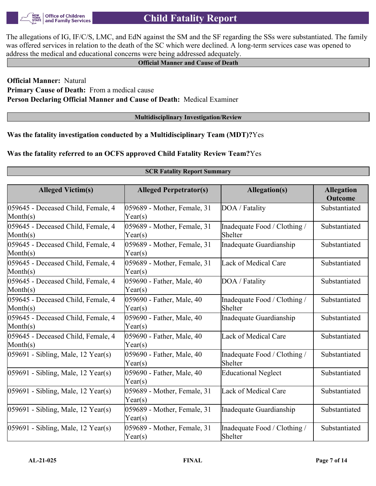

The allegations of IG, IF/C/S, LMC, and EdN against the SM and the SF regarding the SSs were substantiated. The family was offered services in relation to the death of the SC which were declined. A long-term services case was opened to address the medical and educational concerns were being addressed adequately.

### **Official Manner and Cause of Death**

**Official Manner:** Natural **Primary Cause of Death:** From a medical cause **Person Declaring Official Manner and Cause of Death:** Medical Examiner

#### **Multidisciplinary Investigation/Review**

**SCR Fatality Report Summary**

**Was the fatality investigation conducted by a Multidisciplinary Team (MDT)?**Yes

## **Was the fatality referred to an OCFS approved Child Fatality Review Team?**Yes

| <b>Alleged Victim(s)</b>                          | <b>Alleged Perpetrator(s)</b>          | <b>Allegation(s)</b>                    | <b>Allegation</b><br><b>Outcome</b> |
|---------------------------------------------------|----------------------------------------|-----------------------------------------|-------------------------------------|
| 059645 - Deceased Child, Female, 4<br>Month(s)    | 059689 - Mother, Female, 31<br>Year(s) | DOA / Fatality                          | Substantiated                       |
| 059645 - Deceased Child, Female, 4<br>Month $(s)$ | 059689 - Mother, Female, 31<br>Year(s) | Inadequate Food / Clothing /<br>Shelter | Substantiated                       |
| 059645 - Deceased Child, Female, 4<br>Month(s)    | 059689 - Mother, Female, 31<br>Year(s) | Inadequate Guardianship                 | Substantiated                       |
| 059645 - Deceased Child, Female, 4<br>Month(s)    | 059689 - Mother, Female, 31<br>Year(s) | Lack of Medical Care                    | Substantiated                       |
| 059645 - Deceased Child, Female, 4<br>Month(s)    | 059690 - Father, Male, 40<br>Year(s)   | DOA / Fatality                          | Substantiated                       |
| 059645 - Deceased Child, Female, 4<br>Month(s)    | 059690 - Father, Male, 40<br>Year(s)   | Inadequate Food / Clothing /<br>Shelter | Substantiated                       |
| 059645 - Deceased Child, Female, 4<br>Month $(s)$ | 059690 - Father, Male, 40<br>Year(s)   | Inadequate Guardianship                 | Substantiated                       |
| 059645 - Deceased Child, Female, 4<br>Month(s)    | 059690 - Father, Male, 40<br>Year(s)   | Lack of Medical Care                    | Substantiated                       |
| 059691 - Sibling, Male, 12 Year(s)                | 059690 - Father, Male, 40<br>Year(s)   | Inadequate Food / Clothing /<br>Shelter | Substantiated                       |
| 059691 - Sibling, Male, 12 Year(s)                | 059690 - Father, Male, 40<br>Year(s)   | <b>Educational Neglect</b>              | Substantiated                       |
| 059691 - Sibling, Male, 12 Year(s)                | 059689 - Mother, Female, 31<br>Year(s) | Lack of Medical Care                    | Substantiated                       |
| 059691 - Sibling, Male, 12 Year(s)                | 059689 - Mother, Female, 31<br>Year(s) | Inadequate Guardianship                 | Substantiated                       |
| 059691 - Sibling, Male, 12 Year(s)                | 059689 - Mother, Female, 31<br>Year(s) | Inadequate Food / Clothing /<br>Shelter | Substantiated                       |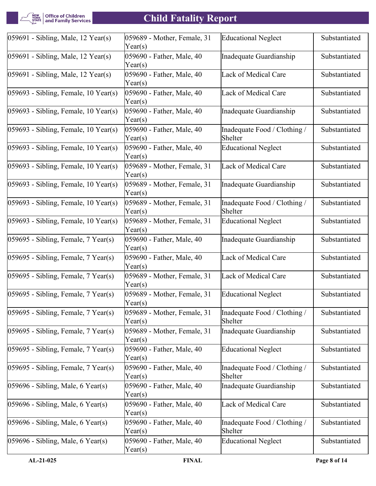| Office of Children<br>| and Family Services NEW<br>YORK<br>STATE

# **Child Fatality Report**

| $ 059691 - Sibling, Male, 12 Year(s) $   | 059689 - Mother, Female, 31<br>Year(s) | <b>Educational Neglect</b>              | Substantiated |
|------------------------------------------|----------------------------------------|-----------------------------------------|---------------|
| $ 059691 - Sibling, Male, 12 Year(s) $   | 059690 - Father, Male, 40<br>Year(s)   | Inadequate Guardianship                 | Substantiated |
| $ 059691 - Sibling, Male, 12 Year(s) $   | 059690 - Father, Male, 40<br>Year(s)   | Lack of Medical Care                    | Substantiated |
| $ 059693 - Sibling, Female, 10 Year(s) $ | 059690 - Father, Male, 40<br>Year(s)   | Lack of Medical Care                    | Substantiated |
| $ 059693 - Sibling, Female, 10 Year(s) $ | 059690 - Father, Male, 40<br>Year(s)   | Inadequate Guardianship                 | Substantiated |
| $ 059693 - Sibling, Female, 10 Year(s) $ | 059690 - Father, Male, 40<br>Year(s)   | Inadequate Food / Clothing /<br>Shelter | Substantiated |
| $ 059693 - Sibling, Female, 10 Year(s) $ | 059690 - Father, Male, 40<br>Year(s)   | <b>Educational Neglect</b>              | Substantiated |
| $ 059693 - Sibling, Female, 10 Year(s) $ | 059689 - Mother, Female, 31<br>Year(s) | Lack of Medical Care                    | Substantiated |
| $ 059693 - Sibling, Female, 10 Year(s) $ | 059689 - Mother, Female, 31<br>Year(s) | Inadequate Guardianship                 | Substantiated |
| $ 059693 - Sibling, Female, 10 Year(s) $ | 059689 - Mother, Female, 31<br>Year(s) | Inadequate Food / Clothing /<br>Shelter | Substantiated |
| $ 059693 - Sibling, Female, 10 Year(s) $ | 059689 - Mother, Female, 31<br>Year(s) | <b>Educational Neglect</b>              | Substantiated |
| $ 059695 - Sibling, Female, 7 Year(s) $  | 059690 - Father, Male, 40<br>Year(s)   | Inadequate Guardianship                 | Substantiated |
| $ 059695 - Sibling, Female, 7 Year(s) $  | 059690 - Father, Male, 40<br>Year(s)   | Lack of Medical Care                    | Substantiated |
| $ 059695 - Sibling, Female, 7 Year(s) $  | 059689 - Mother, Female, 31<br>Year(s) | Lack of Medical Care                    | Substantiated |
| $ 059695 - Sibling$ , Female, 7 Year(s)  | 059689 - Mother, Female, 31<br>Year(s) | <b>Educational Neglect</b>              | Substantiated |
| $ 059695 - Sibling, Female, 7 Year(s) $  | 059689 - Mother, Female, 31<br>Year(s) | Inadequate Food / Clothing /<br>Shelter | Substantiated |
| $ 059695 - Sibling$ , Female, 7 Year(s)  | 059689 - Mother, Female, 31<br>Year(s) | Inadequate Guardianship                 | Substantiated |
| $ 059695 - Sibling, Female, 7 Year(s) $  | 059690 - Father, Male, 40<br>Year(s)   | <b>Educational Neglect</b>              | Substantiated |
| $ 059695 - Sibling, Female, 7 Year(s) $  | 059690 - Father, Male, 40<br>Year(s)   | Inadequate Food / Clothing /<br>Shelter | Substantiated |
| $059696$ - Sibling, Male, 6 Year(s)      | 059690 - Father, Male, 40<br>Year(s)   | Inadequate Guardianship                 | Substantiated |
| $ 059696 - Sibling, Male, 6 Year(s) $    | 059690 - Father, Male, 40<br>Year(s)   | Lack of Medical Care                    | Substantiated |
| $[059696 - Sibling, Male, 6 Year(s)]$    | 059690 - Father, Male, 40<br>Year(s)   | Inadequate Food / Clothing /<br>Shelter | Substantiated |
| $ 059696 - Sibling, Male, 6 Year(s) $    | 059690 - Father, Male, 40<br>Year(s)   | <b>Educational Neglect</b>              | Substantiated |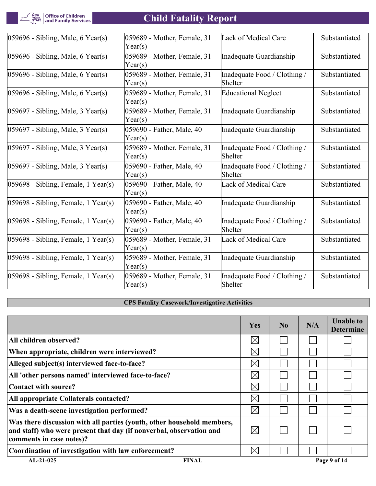**THEW**<br>YORK Office of Children<br>STATE and Family Services

# **Child Fatality Report**

| $ 059696 - Sibling, Male, 6 Year(s) $   | 059689 - Mother, Female, 31<br>Year(s) | Lack of Medical Care                    | Substantiated |
|-----------------------------------------|----------------------------------------|-----------------------------------------|---------------|
| $[059696 - Sibling, Male, 6 Year(s)]$   | 059689 - Mother, Female, 31<br>Year(s) | Inadequate Guardianship                 | Substantiated |
| $ 059696 - Sibling, Male, 6 Year(s) $   | 059689 - Mother, Female, 31<br>Year(s) | Inadequate Food / Clothing /<br>Shelter | Substantiated |
| $ 059696 - Sibling, Male, 6 Year(s) $   | 059689 - Mother, Female, 31<br>Year(s) | <b>Educational Neglect</b>              | Substantiated |
| $ 059697 - Sibling, Male, 3 Year(s) $   | 059689 - Mother, Female, 31<br>Year(s) | Inadequate Guardianship                 | Substantiated |
| $[059697 - Sibling, Male, 3 Year(s)]$   | 059690 - Father, Male, 40<br>Year(s)   | Inadequate Guardianship                 | Substantiated |
| $ 059697 - Sibling, Male, 3 Year(s) $   | 059689 - Mother, Female, 31<br>Year(s) | Inadequate Food / Clothing /<br>Shelter | Substantiated |
| $ 059697 - Sibling, Male, 3 Year(s) $   | 059690 - Father, Male, 40<br>Year(s)   | Inadequate Food / Clothing /<br>Shelter | Substantiated |
| $ 059698 - Sibling, Female, 1 Year(s) $ | 059690 - Father, Male, 40<br>Year(s)   | Lack of Medical Care                    | Substantiated |
| $ 059698 - Sibling, Female, 1 Year(s) $ | 059690 - Father, Male, 40<br>Year(s)   | Inadequate Guardianship                 | Substantiated |
| $ 059698 - Sibling, Female, 1 Year(s) $ | 059690 - Father, Male, 40<br>Year(s)   | Inadequate Food / Clothing /<br>Shelter | Substantiated |
| $ 059698 - Sibling, Female, 1 Year(s) $ | 059689 - Mother, Female, 31<br>Year(s) | Lack of Medical Care                    | Substantiated |
| $ 059698 - Sibling, Female, 1 Year(s) $ | 059689 - Mother, Female, 31<br>Year(s) | Inadequate Guardianship                 | Substantiated |
| $ 059698 - Sibling, Female, 1 Year(s) $ | 059689 - Mother, Female, 31<br>Year(s) | Inadequate Food / Clothing /<br>Shelter | Substantiated |

# **CPS Fatality Casework/Investigative Activities**

|                                                                                                                                                                           | Yes         | $\bf No$ | N/A | <b>Unable to</b><br><b>Determine</b> |
|---------------------------------------------------------------------------------------------------------------------------------------------------------------------------|-------------|----------|-----|--------------------------------------|
| All children observed?                                                                                                                                                    | $\boxtimes$ |          |     |                                      |
| When appropriate, children were interviewed?                                                                                                                              | $\boxtimes$ |          |     |                                      |
| Alleged subject(s) interviewed face-to-face?                                                                                                                              | $\boxtimes$ |          |     |                                      |
| All 'other persons named' interviewed face-to-face?                                                                                                                       | $\boxtimes$ |          |     |                                      |
| Contact with source?                                                                                                                                                      | $\boxtimes$ |          |     |                                      |
| All appropriate Collaterals contacted?                                                                                                                                    | $\boxtimes$ |          |     |                                      |
| Was a death-scene investigation performed?                                                                                                                                | $\boxtimes$ |          |     |                                      |
| Was there discussion with all parties (youth, other household members,<br>and staff) who were present that day (if nonverbal, observation and<br>comments in case notes)? | $\boxtimes$ |          |     |                                      |
| Coordination of investigation with law enforcement?                                                                                                                       | $\times$    |          |     |                                      |
| $AL-21-025$<br><b>FINAL</b>                                                                                                                                               |             |          |     | Page 9 of 14                         |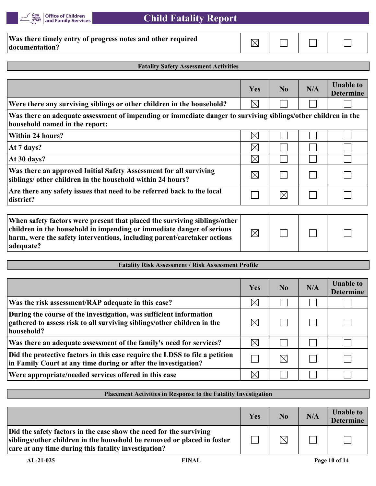

 **Child Fatality Report**

| Was there timely entry of progress notes and other required |  |  |
|-------------------------------------------------------------|--|--|
| documentation?                                              |  |  |

#### **Fatality Safety Assessment Activities**

|                                                                                                                                                                                                                                            | Yes         | No             | N/A | <b>Unable to</b><br><b>Determine</b> |
|--------------------------------------------------------------------------------------------------------------------------------------------------------------------------------------------------------------------------------------------|-------------|----------------|-----|--------------------------------------|
| Were there any surviving siblings or other children in the household?                                                                                                                                                                      | $\boxtimes$ |                |     |                                      |
| Was there an adequate assessment of impending or immediate danger to surviving siblings/other children in the<br>household named in the report:                                                                                            |             |                |     |                                      |
| Within 24 hours?                                                                                                                                                                                                                           | $\times$    |                |     |                                      |
| At 7 days?                                                                                                                                                                                                                                 | $\boxtimes$ |                |     |                                      |
| At 30 days?                                                                                                                                                                                                                                | $\boxtimes$ |                |     |                                      |
| Was there an approved Initial Safety Assessment for all surviving<br>siblings/ other children in the household within 24 hours?                                                                                                            | $\boxtimes$ |                |     |                                      |
| Are there any safety issues that need to be referred back to the local<br>district?                                                                                                                                                        |             | $\boxtimes$    |     |                                      |
| When safety factors were present that placed the surviving siblings/other<br>children in the household in impending or immediate danger of serious<br>harm, were the safety interventions, including parent/caretaker actions<br>adequate? | $\boxtimes$ |                |     |                                      |
| <b>Fatality Risk Assessment / Risk Assessment Profile</b>                                                                                                                                                                                  |             |                |     |                                      |
|                                                                                                                                                                                                                                            |             |                |     |                                      |
|                                                                                                                                                                                                                                            | Yes         | N <sub>0</sub> | N/A | <b>Unable to</b><br><b>Determine</b> |
| Was the risk assessment/RAP adequate in this case?                                                                                                                                                                                         | $\boxtimes$ |                |     |                                      |
| During the course of the investigation, was sufficient information<br>gathered to assess risk to all surviving siblings/other children in the<br>household?                                                                                | $\boxtimes$ |                |     |                                      |
| Was there an adequate assessment of the family's need for services?                                                                                                                                                                        | $\times$    |                |     |                                      |
| Did the protective factors in this case require the LDSS to file a petition<br>in Family Court at any time during or after the investigation?                                                                                              |             | $\boxtimes$    |     |                                      |
| Were appropriate/needed services offered in this case                                                                                                                                                                                      | $\boxtimes$ |                |     |                                      |

#### **Placement Activities in Response to the Fatality Investigation**

|                                                                                                                                                                                                       | Yes | $\bf No$    | N/A | <b>Unable to</b><br><b>Determine</b> |
|-------------------------------------------------------------------------------------------------------------------------------------------------------------------------------------------------------|-----|-------------|-----|--------------------------------------|
| Did the safety factors in the case show the need for the surviving<br>siblings/other children in the household be removed or placed in foster<br>care at any time during this fatality investigation? |     | $\boxtimes$ |     |                                      |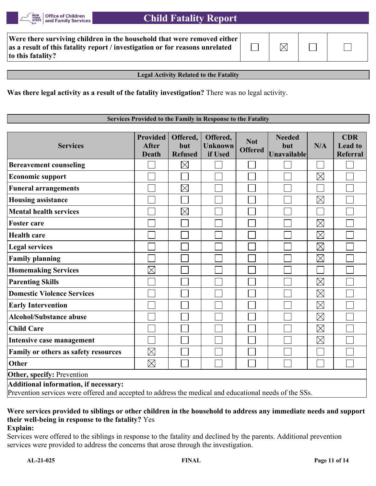

| Were there surviving children in the household that were removed either $ $  |             |  |
|------------------------------------------------------------------------------|-------------|--|
| as a result of this fatality report / investigation or for reasons unrelated | $\boxtimes$ |  |
| to this fatality?                                                            |             |  |

**Legal Activity Related to the Fatality**

**Was there legal activity as a result of the fatality investigation?** There was no legal activity.

#### **Services Provided to the Family in Response to the Fatality**

| <b>Services</b>                                                                                                                                 | <b>Provided</b><br><b>After</b><br><b>Death</b> | Offered,<br>but<br><b>Refused</b> | Offered,<br><b>Unknown</b><br>if Used | <b>Not</b><br><b>Offered</b> | <b>Needed</b><br>but<br>Unavailable | N/A         | <b>CDR</b><br><b>Lead to</b><br><b>Referral</b> |
|-------------------------------------------------------------------------------------------------------------------------------------------------|-------------------------------------------------|-----------------------------------|---------------------------------------|------------------------------|-------------------------------------|-------------|-------------------------------------------------|
| <b>Bereavement counseling</b>                                                                                                                   |                                                 | $\boxtimes$                       |                                       |                              |                                     |             |                                                 |
| <b>Economic support</b>                                                                                                                         |                                                 |                                   |                                       |                              |                                     | $\boxtimes$ |                                                 |
| <b>Funeral arrangements</b>                                                                                                                     |                                                 | $\boxtimes$                       |                                       |                              |                                     |             |                                                 |
| <b>Housing assistance</b>                                                                                                                       |                                                 |                                   |                                       |                              |                                     | $\boxtimes$ |                                                 |
| <b>Mental health services</b>                                                                                                                   |                                                 | $\boxtimes$                       |                                       |                              |                                     |             |                                                 |
| <b>Foster care</b>                                                                                                                              |                                                 |                                   |                                       |                              |                                     | $\boxtimes$ |                                                 |
| <b>Health care</b>                                                                                                                              |                                                 |                                   |                                       |                              |                                     | $\boxtimes$ |                                                 |
| <b>Legal services</b>                                                                                                                           |                                                 |                                   |                                       |                              |                                     | $\boxtimes$ |                                                 |
| <b>Family planning</b>                                                                                                                          |                                                 |                                   |                                       |                              |                                     | $\boxtimes$ |                                                 |
| <b>Homemaking Services</b>                                                                                                                      | $\boxtimes$                                     |                                   |                                       |                              |                                     |             |                                                 |
| <b>Parenting Skills</b>                                                                                                                         |                                                 |                                   |                                       |                              |                                     | $\boxtimes$ |                                                 |
| <b>Domestic Violence Services</b>                                                                                                               |                                                 |                                   |                                       |                              |                                     | $\boxtimes$ |                                                 |
| <b>Early Intervention</b>                                                                                                                       |                                                 |                                   |                                       |                              |                                     | $\boxtimes$ |                                                 |
| <b>Alcohol/Substance abuse</b>                                                                                                                  |                                                 |                                   |                                       |                              |                                     | $\boxtimes$ |                                                 |
| <b>Child Care</b>                                                                                                                               |                                                 |                                   |                                       |                              |                                     | $\boxtimes$ |                                                 |
| Intensive case management                                                                                                                       |                                                 |                                   |                                       |                              |                                     | $\boxtimes$ |                                                 |
| Family or others as safety resources                                                                                                            | $\boxtimes$                                     |                                   |                                       |                              |                                     |             |                                                 |
| Other                                                                                                                                           | $\boxtimes$                                     |                                   |                                       |                              |                                     |             |                                                 |
| Other, specify: Prevention                                                                                                                      |                                                 |                                   |                                       |                              |                                     |             |                                                 |
| Additional information, if necessary:<br>Prevention services were offered and accepted to address the medical and educational needs of the SSs. |                                                 |                                   |                                       |                              |                                     |             |                                                 |

# **Were services provided to siblings or other children in the household to address any immediate needs and support their well-being in response to the fatality?** Yes

#### **Explain:**

Services were offered to the siblings in response to the fatality and declined by the parents. Additional prevention services were provided to address the concerns that arose through the investigation.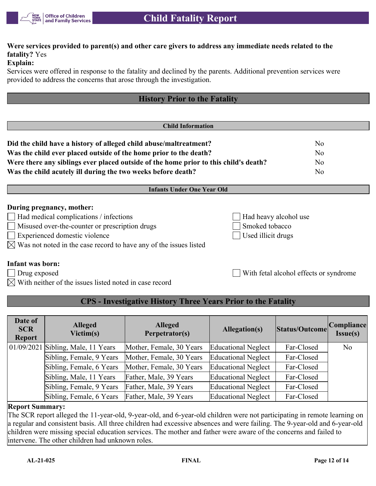

# **Were services provided to parent(s) and other care givers to address any immediate needs related to the fatality?** Yes

## **Explain:**

Services were offered in response to the fatality and declined by the parents. Additional prevention services were provided to address the concerns that arose through the investigation.

|                                                                                      | <b>History Prior to the Fatality</b> |                |
|--------------------------------------------------------------------------------------|--------------------------------------|----------------|
|                                                                                      |                                      |                |
|                                                                                      | <b>Child Information</b>             |                |
| Did the child have a history of alleged child abuse/maltreatment?                    |                                      | No             |
| Was the child ever placed outside of the home prior to the death?                    |                                      | N <sub>o</sub> |
| Were there any siblings ever placed outside of the home prior to this child's death? |                                      | N <sub>o</sub> |
| Was the child acutely ill during the two weeks before death?                         |                                      | No             |
|                                                                                      | <b>Infants Under One Year Old</b>    |                |
| During pregnancy, mother:<br>$\Box$ Had medical complications / infections           | Had heavy alcohol use                |                |
|                                                                                      |                                      |                |

- Misused over-the-counter or prescription drugs Smoked tobacco
- Experienced domestic violence Used illicit drugs
- $\boxtimes$  Was not noted in the case record to have any of the issues listed

Drug exposed With fetal alcohol effects or syndrome

# **Infant was born:**

- 
- $\boxtimes$  With neither of the issues listed noted in case record

# **CPS - Investigative History Three Years Prior to the Fatality**

| Date of<br><b>SCR</b><br><b>Report</b> | <b>Alleged</b><br>Victim(s)            | <b>Alleged</b><br>Perpetrator(s) | Allegation(s)              | Status/Outcome | Compliance <br>Issue(s) |
|----------------------------------------|----------------------------------------|----------------------------------|----------------------------|----------------|-------------------------|
|                                        | $(01/09/2021)$ Sibling, Male, 11 Years | Mother, Female, 30 Years         | Educational Neglect        | Far-Closed     | N <sub>o</sub>          |
|                                        | Sibling, Female, 9 Years               | Mother, Female, 30 Years         | <b>Educational Neglect</b> | Far-Closed     |                         |
|                                        | Sibling, Female, 6 Years               | Mother, Female, 30 Years         | <b>Educational Neglect</b> | Far-Closed     |                         |
|                                        | Sibling, Male, 11 Years                | Father, Male, 39 Years           | Educational Neglect        | Far-Closed     |                         |
|                                        | Sibling, Female, 9 Years               | Father, Male, 39 Years           | <b>Educational Neglect</b> | Far-Closed     |                         |
|                                        | Sibling, Female, 6 Years               | Father, Male, 39 Years           | Educational Neglect        | Far-Closed     |                         |

## **Report Summary:**

The SCR report alleged the 11-year-old, 9-year-old, and 6-year-old children were not participating in remote learning on a regular and consistent basis. All three children had excessive absences and were failing. The 9-year-old and 6-year-old children were missing special education services. The mother and father were aware of the concerns and failed to intervene. The other children had unknown roles.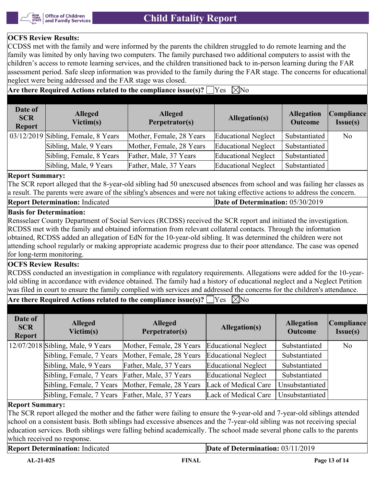

### **OCFS Review Results:**

CCDSS met with the family and were informed by the parents the children struggled to do remote learning and the family was limited by only having two computers. The family purchased two additional computers to assist with the children's access to remote learning services, and the children transitioned back to in-person learning during the FAR assessment period. Safe sleep information was provided to the family during the FAR stage. The concerns for educational neglect were being addressed and the FAR stage was closed.

Are there Required Actions related to the compliance issue(s)?  $\Box$  Yes  $\Box$  No

| Date of<br><b>SCR</b><br><b>Report</b> | <b>Alleged</b><br>Victim(s)         | <b>Alleged</b><br>Perpetrator(s) | <b>Allegation(s)</b> | <b>Allegation</b><br><b>Outcome</b> | Compliance<br>Issue(s) |
|----------------------------------------|-------------------------------------|----------------------------------|----------------------|-------------------------------------|------------------------|
|                                        | 03/12/2019 Sibling, Female, 8 Years | Mother, Female, 28 Years         | Educational Neglect  | Substantiated                       | N <sub>o</sub>         |
|                                        | Sibling, Male, 9 Years              | Mother, Female, 28 Years         | Educational Neglect  | Substantiated                       |                        |
|                                        | Sibling, Female, 8 Years            | Father, Male, 37 Years           | Educational Neglect  | Substantiated                       |                        |
|                                        | Sibling, Male, 9 Years              | Father, Male, 37 Years           | Educational Neglect  | Substantiated                       |                        |

#### **Report Summary:**

The SCR report alleged that the 8-year-old sibling had 50 unexcused absences from school and was failing her classes as a result. The parents were aware of the sibling's absences and were not taking effective actions to address the concern.

#### **Report Determination:** Indicated **Date of Determination:** 05/30/2019

## **Basis for Determination:**

Rensselaer County Department of Social Services (RCDSS) received the SCR report and initiated the investigation. RCDSS met with the family and obtained information from relevant collateral contacts. Through the information obtained, RCDSS added an allegation of EdN for the 10-year-old sibling. It was determined the children were not attending school regularly or making appropriate academic progress due to their poor attendance. The case was opened for long-term monitoring.

## **OCFS Review Results:**

RCDSS conducted an investigation in compliance with regulatory requirements. Allegations were added for the 10-yearold sibling in accordance with evidence obtained. The family had a history of educational neglect and a Neglect Petition was filed in court to ensure the family complied with services and addressed the concerns for the children's attendance.

# **Are there Required Actions related to the compliance issue(s)?**  $\Box$  Yes  $\Box$  No

| Date of<br><b>SCR</b><br><b>Report</b> | <b>Alleged</b><br>Victim(s)                     | <b>Alleged</b><br>Perpetrator(s)                  | Allegation(s)        | <b>Allegation</b><br><b>Outcome</b> | Compliance<br>Issue(s) |
|----------------------------------------|-------------------------------------------------|---------------------------------------------------|----------------------|-------------------------------------|------------------------|
|                                        | $12/07/2018$ Sibling, Male, 9 Years             | Mother, Female, 28 Years                          | Educational Neglect  | Substantiated                       | N <sub>o</sub>         |
|                                        | Sibling, Female, 7 Years                        | Mother, Female, 28 Years                          | Educational Neglect  | Substantiated                       |                        |
|                                        | Sibling, Male, 9 Years                          | Father, Male, 37 Years                            | Educational Neglect  | Substantiated                       |                        |
|                                        | Sibling, Female, 7 Years                        | Father, Male, 37 Years                            | Educational Neglect  | Substantiated                       |                        |
|                                        |                                                 | Sibling, Female, 7 Years Mother, Female, 28 Years | Lack of Medical Care | Unsubstantiated                     |                        |
|                                        | Sibling, Female, 7 Years Father, Male, 37 Years |                                                   | Lack of Medical Care | Unsubstantiated                     |                        |

## **Report Summary:**

The SCR report alleged the mother and the father were failing to ensure the 9-year-old and 7-year-old siblings attended school on a consistent basis. Both siblings had excessive absences and the 7-year-old sibling was not receiving special education services. Both siblings were falling behind academically. The school made several phone calls to the parents which received no response.

**Report Determination:** Indicated **Date of Determination:** 03/11/2019